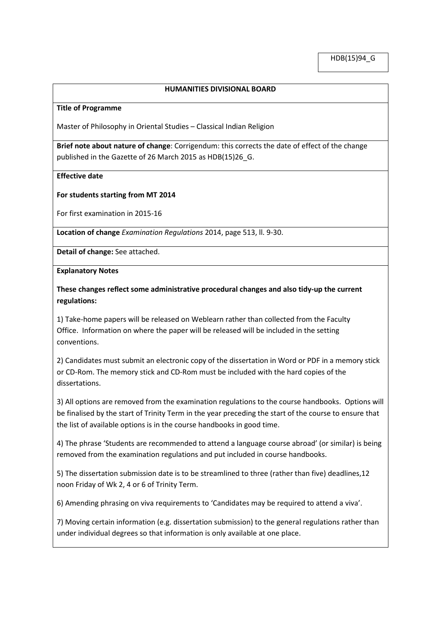## **HUMANITIES DIVISIONAL BOARD**

#### **Title of Programme**

Master of Philosophy in Oriental Studies – Classical Indian Religion

**Brief note about nature of change**: Corrigendum: this corrects the date of effect of the change published in the Gazette of 26 March 2015 as HDB(15)26\_G.

### **Effective date**

### **For students starting from MT 2014**

For first examination in 2015-16

**Location of change** *Examination Regulations* 2014, page 513, ll. 9-30.

**Detail of change:** See attached.

**Explanatory Notes**

**These changes reflect some administrative procedural changes and also tidy-up the current regulations:**

1) Take-home papers will be released on Weblearn rather than collected from the Faculty Office. Information on where the paper will be released will be included in the setting conventions.

2) Candidates must submit an electronic copy of the dissertation in Word or PDF in a memory stick or CD-Rom. The memory stick and CD-Rom must be included with the hard copies of the dissertations.

3) All options are removed from the examination regulations to the course handbooks. Options will be finalised by the start of Trinity Term in the year preceding the start of the course to ensure that the list of available options is in the course handbooks in good time.

4) The phrase 'Students are recommended to attend a language course abroad' (or similar) is being removed from the examination regulations and put included in course handbooks.

5) The dissertation submission date is to be streamlined to three (rather than five) deadlines,12 noon Friday of Wk 2, 4 or 6 of Trinity Term.

6) Amending phrasing on viva requirements to 'Candidates may be required to attend a viva'.

7) Moving certain information (e.g. dissertation submission) to the general regulations rather than under individual degrees so that information is only available at one place.